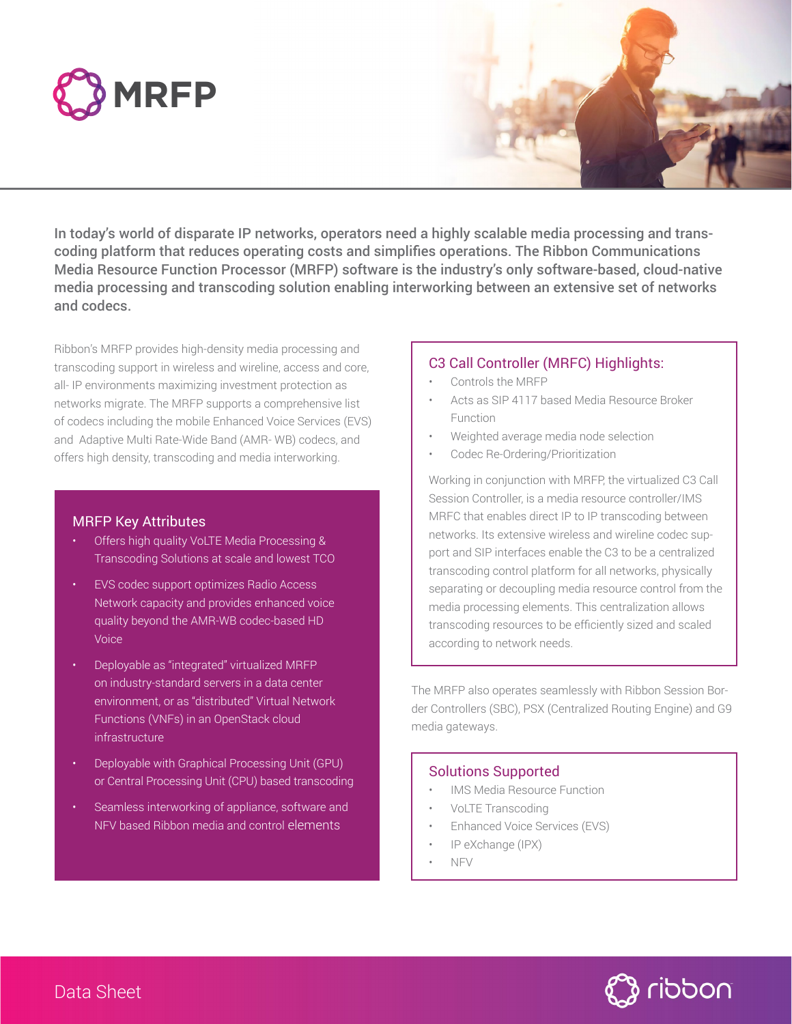



In today's world of disparate IP networks, operators need a highly scalable media processing and transcoding platform that reduces operating costs and simplifies operations. The Ribbon Communications Media Resource Function Processor (MRFP) software is the industry's only software-based, cloud-native media processing and transcoding solution enabling interworking between an extensive set of networks and codecs.

Ribbon's MRFP provides high-density media processing and transcoding support in wireless and wireline, access and core, all- IP environments maximizing investment protection as networks migrate. The MRFP supports a comprehensive list of codecs including the mobile Enhanced Voice Services (EVS) and Adaptive Multi Rate-Wide Band (AMR- WB) codecs, and offers high density, transcoding and media interworking.

### MRFP Key Attributes

- Offers high quality VoLTE Media Processing & Transcoding Solutions at scale and lowest TCO
- EVS codec support optimizes Radio Access Network capacity and provides enhanced voice quality beyond the AMR-WB codec-based HD Voice
- Deployable as "integrated" virtualized MRFP on industry-standard servers in a data center environment, or as "distributed" Virtual Network Functions (VNFs) in an OpenStack cloud infrastructure
- **Deployable with Graphical Processing Unit (GPU)** or Central Processing Unit (CPU) based transcoding
- Seamless interworking of appliance, software and NFV based Ribbon media and control elements

#### C3 Call Controller (MRFC) Highlights:

- Controls the MRFP
- Acts as SIP 4117 based Media Resource Broker Function
- Weighted average media node selection
- Codec Re-Ordering/Prioritization

Working in conjunction with MRFP, the virtualized C3 Call Session Controller, is a media resource controller/IMS MRFC that enables direct IP to IP transcoding between networks. Its extensive wireless and wireline codec support and SIP interfaces enable the C3 to be a centralized transcoding control platform for all networks, physically separating or decoupling media resource control from the media processing elements. This centralization allows transcoding resources to be efficiently sized and scaled according to network needs.

The MRFP also operates seamlessly with Ribbon Session Border Controllers (SBC), PSX (Centralized Routing Engine) and G9 media gateways.

#### Solutions Supported

- IMS Media Resource Function
- VoLTE Transcoding
- Enhanced Voice Services (EVS)
- IP eXchange (IPX)
- NFV